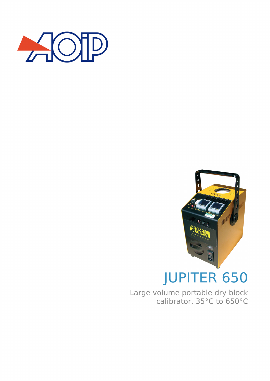



# JUPITER 650

Large volume portable dry block calibrator, 35°C to 650°C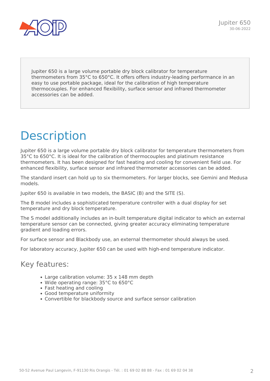

Jupiter 650 is a large volume portable dry block calibrator for temperature thermometers from 35°C to 650°C. It offers offers industry-leading performance in an easy to use portable package, ideal for the calibration of high temperature thermocouples. For enhanced flexibility, surface sensor and infrared thermometer accessories can be added.

## **Description**

Jupiter 650 is a large volume portable dry block calibrator for temperature thermometers from 35°C to 650°C. It is ideal for the calibration of thermocouples and platinum resistance thermometers. It has been designed for fast heating and cooling for convenient field use. For enhanced flexibility, surface sensor and infrared thermometer accessories can be added.

The standard insert can hold up to six thermometers. For larger blocks, see Gemini and Medusa models.

Jupiter 650 is available in two models, the BASIC (B) and the SITE (S).

The B model includes a sophisticated temperature controller with a dual display for set temperature and dry block temperature.

The S model additionally includes an in-built temperature digital indicator to which an external temperature sensor can be connected, giving greater accuracy eliminating temperature gradient and loading errors.

For surface sensor and Blackbody use, an external thermometer should always be used.

For laboratory accuracy, Jupiter 650 can be used with high-end temperature indicator.

#### Key features:

- Large calibration volume: 35 x 148 mm depth
- Wide operating range: 35°C to 650°C
- Fast heating and cooling
- Good temperature uniformity
- Convertible for blackbody source and surface sensor calibration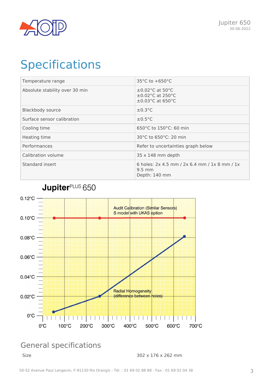

### **Specifications**

| Temperature range              | $35^{\circ}$ C to $+650^{\circ}$ C                                                                                   |
|--------------------------------|----------------------------------------------------------------------------------------------------------------------|
| Absolute stability over 30 min | $\pm 0.02$ °C at 50 °C<br>$\pm$ 0.02 $^{\circ}$ C at 250 $^{\circ}$ C<br>$\pm$ 0.03 $^{\circ}$ C at 650 $^{\circ}$ C |
| <b>Blackbody source</b>        | $\pm 0.3$ °C                                                                                                         |
| Surface sensor calibration     | $\pm 0.5$ °C                                                                                                         |
| Cooling time                   | 650°C to 150°C: 60 min                                                                                               |
| Heating time                   | 30°C to 650°C: 20 min                                                                                                |
| Performances                   | Refer to uncertainties graph below                                                                                   |
| Calibration volume             | $35 \times 148$ mm depth                                                                                             |
| Standard insert                | 6 holes: 2x 4.5 mm / 2x 6.4 mm / 1x 8 mm / 1x<br>$9.5 \text{ mm}$<br>Depth: 140 mm                                   |

JupiterPLUS 650



### General specifications

Size 302 x 176 x 262 mm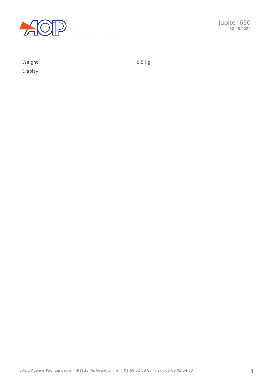

Display

Weight 8.5 kg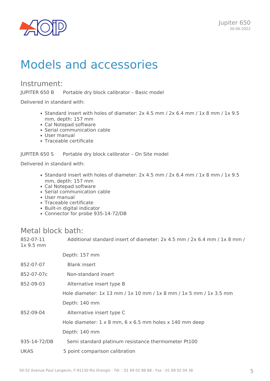

### Models and accessories

#### Instrument:

JUPITER 650 B Portable dry block calibrator – Basic model

Delivered in standard with:

- Standard insert with holes of diameter: 2x 4.5 mm / 2x 6.4 mm / 1x 8 mm / 1x 9.5 mm, depth: 157 mm
- Cal Notepad software
- Serial communication cable
- User manual
- Traceable certificate

JUPITER 650 S Portable dry block calibrator – On Site model

Delivered in standard with:

- Standard insert with holes of diameter: 2x 4.5 mm / 2x 6.4 mm / 1x 8 mm / 1x 9.5 mm, depth: 157 mm
- Cal Notepad software
- Serial communication cable
- User manual
- Traceable certificate
- Built-in digital indicator
- Connector for probe 935-14-72/DB

#### Metal block bath:

| I ICLAI MIUCIN MULIII  |                                                                              |
|------------------------|------------------------------------------------------------------------------|
| 852-07-11<br>1x 9.5 mm | Additional standard insert of diameter: 2x 4.5 mm / 2x 6.4 mm / 1x 8 mm /    |
|                        | Depth: 157 mm                                                                |
| 852-07-07              | <b>Blank insert</b>                                                          |
| 852-07-07c             | Non-standard insert                                                          |
| 852-09-03              | Alternative insert type B                                                    |
|                        | Hole diameter: 1x 13 mm / 1x 10 mm / 1x 8 mm / 1x 5 mm / 1x 3.5 mm           |
|                        | Depth: 140 mm                                                                |
| 852-09-04              | Alternative insert type C                                                    |
|                        | Hole diameter: $1 \times 8$ mm, $6 \times 6.5$ mm holes $\times$ 140 mm deep |
|                        | Depth: 140 mm                                                                |
| 935-14-72/DB           | Semi standard platinum resistance thermometer Pt100                          |
| <b>UKAS</b>            | 5 point comparison calibration                                               |
|                        |                                                                              |